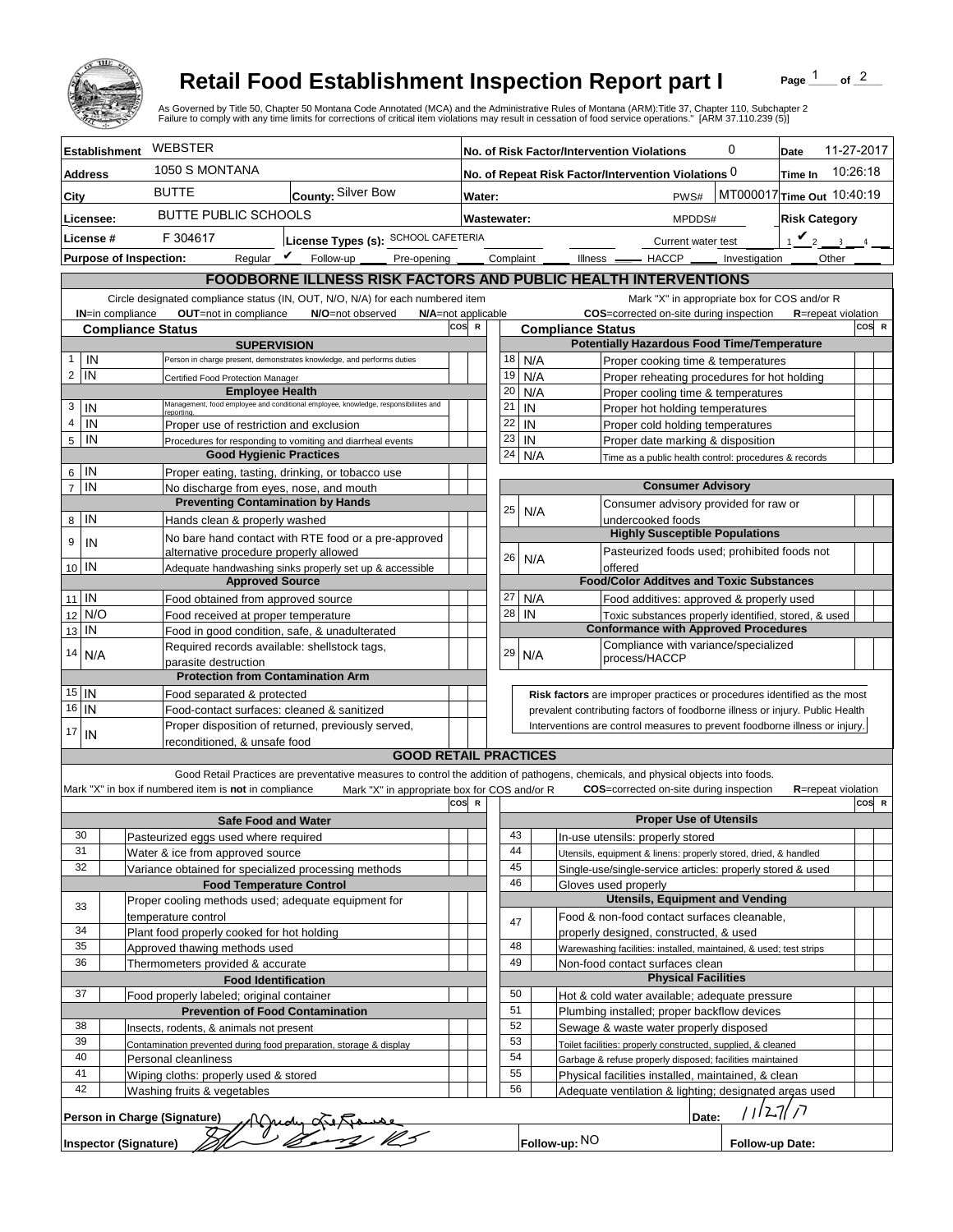

## **Retail Food Establishment Inspection Report part I**

Page  $\frac{1}{1}$  of  $\frac{2}{1}$ 

|                        |                      |                                                                                             | <b>Retail Food Establishment Inspection Report part I</b><br>As Governed by Title 50, Chapter 50 Montana Code Annotated (MCA) and the Administrative Rules of Montana (ARM):Title 37, Chapter 110, Subchapter 2<br>Failure to comply with any time limits for corrections of critical item violations may result in cessation of food service operations." [ARM 37.110.239 (5)] |     |                                                                            |                                                                                                                                                          |            |                                            |                                                                                   |                            | Page                       | of $^2$                 |       |
|------------------------|----------------------|---------------------------------------------------------------------------------------------|---------------------------------------------------------------------------------------------------------------------------------------------------------------------------------------------------------------------------------------------------------------------------------------------------------------------------------------------------------------------------------|-----|----------------------------------------------------------------------------|----------------------------------------------------------------------------------------------------------------------------------------------------------|------------|--------------------------------------------|-----------------------------------------------------------------------------------|----------------------------|----------------------------|-------------------------|-------|
|                        | <b>Establishment</b> | WEBSTER                                                                                     |                                                                                                                                                                                                                                                                                                                                                                                 |     |                                                                            |                                                                                                                                                          |            | No. of Risk Factor/Intervention Violations |                                                                                   | 0                          | Date                       | 11-27-2017              |       |
| <b>Address</b>         |                      | 1050 S MONTANA                                                                              |                                                                                                                                                                                                                                                                                                                                                                                 |     |                                                                            |                                                                                                                                                          |            |                                            | No. of Repeat Risk Factor/Intervention Violations 0                               |                            | Time In                    | 10:26:18                |       |
| City                   |                      | <b>BUTTE</b>                                                                                | County: Silver Bow                                                                                                                                                                                                                                                                                                                                                              |     | Water:                                                                     |                                                                                                                                                          |            |                                            | PWS#                                                                              | MT000017 Time Out 10:40:19 |                            |                         |       |
|                        |                      |                                                                                             | <b>BUTTE PUBLIC SCHOOLS</b>                                                                                                                                                                                                                                                                                                                                                     |     | Wastewater:                                                                |                                                                                                                                                          |            |                                            |                                                                                   |                            | <b>Risk Category</b>       |                         |       |
| Licensee:<br>License # |                      |                                                                                             | F 304617<br>License Types (s): SCHOOL CAFETERIA                                                                                                                                                                                                                                                                                                                                 |     |                                                                            |                                                                                                                                                          |            |                                            | MPDDS#                                                                            |                            |                            | $\mathbf{v}_2$          |       |
|                        |                      | Regular $\mathbf{\underline{\mathit{v}}}$<br><b>Purpose of Inspection:</b>                  | Follow-up<br>Pre-opening                                                                                                                                                                                                                                                                                                                                                        |     |                                                                            |                                                                                                                                                          |            | Complaint                                  | Current water test<br>Illness <u>- HACCP</u> -                                    | Investigation              |                            | $\overline{3}$<br>Other |       |
|                        |                      |                                                                                             | FOODBORNE ILLNESS RISK FACTORS AND PUBLIC HEALTH INTERVENTIONS                                                                                                                                                                                                                                                                                                                  |     |                                                                            |                                                                                                                                                          |            |                                            |                                                                                   |                            |                            |                         |       |
|                        |                      |                                                                                             | Circle designated compliance status (IN, OUT, N/O, N/A) for each numbered item                                                                                                                                                                                                                                                                                                  |     |                                                                            |                                                                                                                                                          |            |                                            | Mark "X" in appropriate box for COS and/or R                                      |                            |                            |                         |       |
|                        | IN=in compliance     | OUT=not in compliance                                                                       | N/O=not observed                                                                                                                                                                                                                                                                                                                                                                |     | N/A=not applicable                                                         |                                                                                                                                                          |            |                                            | COS=corrected on-site during inspection                                           |                            | <b>R</b> =repeat violation |                         |       |
|                        |                      | <b>Compliance Status</b>                                                                    |                                                                                                                                                                                                                                                                                                                                                                                 | cos | $\mathbb{R}$                                                               |                                                                                                                                                          |            | <b>Compliance Status</b>                   |                                                                                   |                            |                            |                         | COS R |
|                        |                      | <b>SUPERVISION</b>                                                                          |                                                                                                                                                                                                                                                                                                                                                                                 |     |                                                                            |                                                                                                                                                          |            |                                            | <b>Potentially Hazardous Food Time/Temperature</b>                                |                            |                            |                         |       |
| 1<br>2                 | IN<br>IN             |                                                                                             | Person in charge present, demonstrates knowledge, and performs duties                                                                                                                                                                                                                                                                                                           |     |                                                                            | 18<br>19                                                                                                                                                 | N/A        |                                            | Proper cooking time & temperatures                                                |                            |                            |                         |       |
|                        |                      | Certified Food Protection Manager<br><b>Employee Health</b>                                 |                                                                                                                                                                                                                                                                                                                                                                                 |     |                                                                            | 20                                                                                                                                                       | N/A<br>N/A |                                            | Proper reheating procedures for hot holding<br>Proper cooling time & temperatures |                            |                            |                         |       |
| 3                      | IN                   |                                                                                             | Management, food employee and conditional employee, knowledge, responsibiliites and                                                                                                                                                                                                                                                                                             |     |                                                                            | 21                                                                                                                                                       | IN         |                                            | Proper hot holding temperatures                                                   |                            |                            |                         |       |
| 4                      | IN                   | Proper use of restriction and exclusion                                                     |                                                                                                                                                                                                                                                                                                                                                                                 |     |                                                                            | 22                                                                                                                                                       | IN         |                                            | Proper cold holding temperatures                                                  |                            |                            |                         |       |
| 5                      | IN                   |                                                                                             | Procedures for responding to vomiting and diarrheal events                                                                                                                                                                                                                                                                                                                      |     |                                                                            | 23                                                                                                                                                       | IN         |                                            | Proper date marking & disposition                                                 |                            |                            |                         |       |
|                        |                      | <b>Good Hygienic Practices</b>                                                              |                                                                                                                                                                                                                                                                                                                                                                                 |     |                                                                            | 24                                                                                                                                                       | N/A        |                                            | Time as a public health control: procedures & records                             |                            |                            |                         |       |
| 6<br>$\overline{7}$    | IN<br>IN             | Proper eating, tasting, drinking, or tobacco use<br>No discharge from eyes, nose, and mouth |                                                                                                                                                                                                                                                                                                                                                                                 |     |                                                                            |                                                                                                                                                          |            |                                            | <b>Consumer Advisory</b>                                                          |                            |                            |                         |       |
|                        |                      | <b>Preventing Contamination by Hands</b>                                                    |                                                                                                                                                                                                                                                                                                                                                                                 |     |                                                                            |                                                                                                                                                          |            |                                            | Consumer advisory provided for raw or                                             |                            |                            |                         |       |
| 8                      | IN                   | Hands clean & properly washed                                                               |                                                                                                                                                                                                                                                                                                                                                                                 |     |                                                                            | 25                                                                                                                                                       | N/A        |                                            | undercooked foods                                                                 |                            |                            |                         |       |
| 9                      | IN                   |                                                                                             | No bare hand contact with RTE food or a pre-approved                                                                                                                                                                                                                                                                                                                            |     |                                                                            |                                                                                                                                                          |            |                                            | <b>Highly Susceptible Populations</b>                                             |                            |                            |                         |       |
|                        |                      | alternative procedure properly allowed                                                      |                                                                                                                                                                                                                                                                                                                                                                                 |     |                                                                            | 26                                                                                                                                                       | N/A        |                                            | Pasteurized foods used; prohibited foods not                                      |                            |                            |                         |       |
| 10 IN                  |                      | <b>Approved Source</b>                                                                      | Adequate handwashing sinks properly set up & accessible                                                                                                                                                                                                                                                                                                                         |     |                                                                            |                                                                                                                                                          |            |                                            | offered<br><b>Food/Color Additves and Toxic Substances</b>                        |                            |                            |                         |       |
| 11                     | l IN                 | Food obtained from approved source                                                          |                                                                                                                                                                                                                                                                                                                                                                                 |     |                                                                            | 27                                                                                                                                                       | N/A        |                                            | Food additives: approved & properly used                                          |                            |                            |                         |       |
| 12                     | N/O                  | Food received at proper temperature                                                         |                                                                                                                                                                                                                                                                                                                                                                                 |     |                                                                            | 28                                                                                                                                                       | IN         |                                            | Toxic substances properly identified, stored, & used                              |                            |                            |                         |       |
| 13                     | IN                   | Food in good condition, safe, & unadulterated                                               |                                                                                                                                                                                                                                                                                                                                                                                 |     |                                                                            |                                                                                                                                                          |            |                                            | <b>Conformance with Approved Procedures</b>                                       |                            |                            |                         |       |
| 14                     | N/A                  | Required records available: shellstock tags,                                                |                                                                                                                                                                                                                                                                                                                                                                                 |     |                                                                            | 29                                                                                                                                                       | N/A        |                                            | Compliance with variance/specialized                                              |                            |                            |                         |       |
|                        |                      | parasite destruction                                                                        |                                                                                                                                                                                                                                                                                                                                                                                 |     |                                                                            |                                                                                                                                                          |            |                                            | process/HACCP                                                                     |                            |                            |                         |       |
| $15$ IN                |                      | <b>Protection from Contamination Arm</b>                                                    |                                                                                                                                                                                                                                                                                                                                                                                 |     |                                                                            |                                                                                                                                                          |            |                                            |                                                                                   |                            |                            |                         |       |
| $16$ IN                |                      | Food separated & protected<br>Food-contact surfaces: cleaned & sanitized                    |                                                                                                                                                                                                                                                                                                                                                                                 |     |                                                                            | Risk factors are improper practices or procedures identified as the most<br>prevalent contributing factors of foodborne illness or injury. Public Health |            |                                            |                                                                                   |                            |                            |                         |       |
|                        |                      | Proper disposition of returned, previously served,                                          |                                                                                                                                                                                                                                                                                                                                                                                 |     | Interventions are control measures to prevent foodborne illness or injury. |                                                                                                                                                          |            |                                            |                                                                                   |                            |                            |                         |       |
| 17                     | IN                   | reconditioned. & unsafe food                                                                |                                                                                                                                                                                                                                                                                                                                                                                 |     |                                                                            |                                                                                                                                                          |            |                                            |                                                                                   |                            |                            |                         |       |
|                        |                      |                                                                                             | <b>GOOD RETAIL PRACTICES</b>                                                                                                                                                                                                                                                                                                                                                    |     |                                                                            |                                                                                                                                                          |            |                                            |                                                                                   |                            |                            |                         |       |
|                        |                      |                                                                                             | Good Retail Practices are preventative measures to control the addition of pathogens, chemicals, and physical objects into foods.                                                                                                                                                                                                                                               |     |                                                                            |                                                                                                                                                          |            |                                            |                                                                                   |                            |                            |                         |       |
|                        |                      | Mark "X" in box if numbered item is not in compliance                                       | Mark "X" in appropriate box for COS and/or R                                                                                                                                                                                                                                                                                                                                    | cos |                                                                            |                                                                                                                                                          |            |                                            | <b>COS</b> =corrected on-site during inspection                                   |                            | <b>R</b> =repeat violation |                         | COS R |
|                        |                      | <b>Safe Food and Water</b>                                                                  |                                                                                                                                                                                                                                                                                                                                                                                 |     |                                                                            |                                                                                                                                                          |            |                                            | <b>Proper Use of Utensils</b>                                                     |                            |                            |                         |       |
| 30                     |                      | Pasteurized eggs used where required                                                        |                                                                                                                                                                                                                                                                                                                                                                                 |     |                                                                            |                                                                                                                                                          | 43         |                                            | In-use utensils: properly stored                                                  |                            |                            |                         |       |
| 31                     |                      | Water & ice from approved source                                                            |                                                                                                                                                                                                                                                                                                                                                                                 |     |                                                                            |                                                                                                                                                          | 44         |                                            | Utensils, equipment & linens: properly stored, dried, & handled                   |                            |                            |                         |       |
| 32                     |                      | Variance obtained for specialized processing methods                                        |                                                                                                                                                                                                                                                                                                                                                                                 |     |                                                                            |                                                                                                                                                          | 45         |                                            | Single-use/single-service articles: properly stored & used                        |                            |                            |                         |       |
|                        |                      | <b>Food Temperature Control</b>                                                             |                                                                                                                                                                                                                                                                                                                                                                                 |     |                                                                            |                                                                                                                                                          | 46         | Gloves used properly                       | <b>Utensils, Equipment and Vending</b>                                            |                            |                            |                         |       |
| 33                     |                      | Proper cooling methods used; adequate equipment for<br>temperature control                  |                                                                                                                                                                                                                                                                                                                                                                                 |     |                                                                            |                                                                                                                                                          |            |                                            | Food & non-food contact surfaces cleanable,                                       |                            |                            |                         |       |
| 34                     |                      | Plant food properly cooked for hot holding                                                  |                                                                                                                                                                                                                                                                                                                                                                                 |     |                                                                            |                                                                                                                                                          | 47         |                                            | properly designed, constructed, & used                                            |                            |                            |                         |       |
| 35                     |                      | Approved thawing methods used                                                               |                                                                                                                                                                                                                                                                                                                                                                                 |     |                                                                            |                                                                                                                                                          | 48         |                                            | Warewashing facilities: installed, maintained, & used; test strips                |                            |                            |                         |       |
| 36                     |                      | Thermometers provided & accurate                                                            |                                                                                                                                                                                                                                                                                                                                                                                 |     |                                                                            |                                                                                                                                                          | 49         |                                            | Non-food contact surfaces clean                                                   |                            |                            |                         |       |
|                        |                      | <b>Food Identification</b>                                                                  |                                                                                                                                                                                                                                                                                                                                                                                 |     |                                                                            |                                                                                                                                                          |            |                                            | <b>Physical Facilities</b>                                                        |                            |                            |                         |       |
| 37                     |                      | Food properly labeled; original container                                                   |                                                                                                                                                                                                                                                                                                                                                                                 |     |                                                                            |                                                                                                                                                          | 50         |                                            | Hot & cold water available; adequate pressure                                     |                            |                            |                         |       |
| 38                     |                      | <b>Prevention of Food Contamination</b><br>Insects, rodents, & animals not present          |                                                                                                                                                                                                                                                                                                                                                                                 |     |                                                                            | 51<br>Plumbing installed; proper backflow devices<br>52                                                                                                  |            |                                            |                                                                                   |                            |                            |                         |       |
| 39                     |                      | Contamination prevented during food preparation, storage & display                          |                                                                                                                                                                                                                                                                                                                                                                                 |     |                                                                            | Sewage & waste water properly disposed<br>53<br>Toilet facilities: properly constructed, supplied, & cleaned                                             |            |                                            |                                                                                   |                            |                            |                         |       |
| 40                     |                      | Personal cleanliness                                                                        |                                                                                                                                                                                                                                                                                                                                                                                 |     |                                                                            | 54<br>Garbage & refuse properly disposed; facilities maintained                                                                                          |            |                                            |                                                                                   |                            |                            |                         |       |
| 41                     |                      | Wiping cloths: properly used & stored                                                       |                                                                                                                                                                                                                                                                                                                                                                                 |     |                                                                            |                                                                                                                                                          | 55         |                                            | Physical facilities installed, maintained, & clean                                |                            |                            |                         |       |
| 42                     |                      | Washing fruits & vegetables                                                                 |                                                                                                                                                                                                                                                                                                                                                                                 |     |                                                                            |                                                                                                                                                          | 56         |                                            | Adequate ventilation & lighting; designated areas used                            |                            |                            |                         |       |
|                        |                      | Person in Charge (Signature)                                                                |                                                                                                                                                                                                                                                                                                                                                                                 |     |                                                                            |                                                                                                                                                          |            |                                            | Date:                                                                             |                            | רן   בג ן                  |                         |       |
|                        |                      |                                                                                             | dy Gitfame                                                                                                                                                                                                                                                                                                                                                                      |     |                                                                            |                                                                                                                                                          |            |                                            |                                                                                   |                            |                            |                         |       |
|                        |                      | <b>Inspector (Signature)</b>                                                                |                                                                                                                                                                                                                                                                                                                                                                                 |     |                                                                            |                                                                                                                                                          |            | Follow-up: NO                              |                                                                                   | Follow-up Date:            |                            |                         |       |